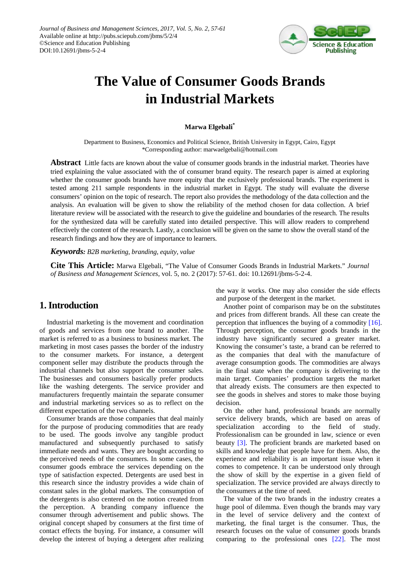

# **The Value of Consumer Goods Brands in Industrial Markets**

## **Marwa Elgebali\***

Department to Business, Economics and Political Science, British University in Egypt, Cairo, Egypt \*Corresponding author: marwaelgebali@hotmail.com

**Abstract** Little facts are known about the value of consumer goods brands in the industrial market. Theories have tried explaining the value associated with the of consumer brand equity. The research paper is aimed at exploring whether the consumer goods brands have more equity that the exclusively professional brands. The experiment is tested among 211 sample respondents in the industrial market in Egypt. The study will evaluate the diverse consumers' opinion on the topic of research. The report also provides the methodology of the data collection and the analysis. An evaluation will be given to show the reliability of the method chosen for data collection. A brief literature review will be associated with the research to give the guideline and boundaries of the research. The results for the synthesized data will be carefully stated into detailed perspective. This will allow readers to comprehend effectively the content of the research. Lastly, a conclusion will be given on the same to show the overall stand of the research findings and how they are of importance to learners.

#### *Keywords: B2B marketing, branding, equity, value*

**Cite This Article:** Marwa Elgebali, "The Value of Consumer Goods Brands in Industrial Markets." *Journal of Business and Management Sciences*, vol. 5, no. 2 (2017): 57-61. doi: 10.12691/jbms-5-2-4.

# **1. Introduction**

Industrial marketing is the movement and coordination of goods and services from one brand to another. The market is referred to as a business to business market. The marketing in most cases passes the border of the industry to the consumer markets. For instance, a detergent component seller may distribute the products through the industrial channels but also support the consumer sales. The businesses and consumers basically prefer products like the washing detergents. The service provider and manufacturers frequently maintain the separate consumer and industrial marketing services so as to reflect on the different expectation of the two channels.

Consumer brands are those companies that deal mainly for the purpose of producing commodities that are ready to be used. The goods involve any tangible product manufactured and subsequently purchased to satisfy immediate needs and wants. They are bought according to the perceived needs of the consumers. In some cases, the consumer goods embrace the services depending on the type of satisfaction expected. Detergents are used best in this research since the industry provides a wide chain of constant sales in the global markets. The consumption of the detergents is also centered on the notion created from the perception. A branding company influence the consumer through advertisement and public shows. The original concept shaped by consumers at the first time of contact effects the buying. For instance, a consumer will develop the interest of buying a detergent after realizing the way it works. One may also consider the side effects and purpose of the detergent in the market.

Another point of comparison may be on the substitutes and prices from different brands. All these can create the perception that influences the buying of a commodity [\[16\].](#page-4-0) Through perception, the consumer goods brands in the industry have significantly secured a greater market. Knowing the consumer's taste, a brand can be referred to as the companies that deal with the manufacture of average consumption goods. The commodities are always in the final state when the company is delivering to the main target. Companies' production targets the market that already exists. The consumers are then expected to see the goods in shelves and stores to make those buying decision.

On the other hand, professional brands are normally service delivery brands, which are based on areas of specialization according to the field of study. Professionalism can be grounded in law, science or even beauty [\[3\].](#page-4-1) The proficient brands are marketed based on skills and knowledge that people have for them. Also, the experience and reliability is an important issue when it comes to competence. It can be understood only through the show of skill by the expertise in a given field of specialization. The service provided are always directly to the consumers at the time of need.

The value of the two brands in the industry creates a huge pool of dilemma. Even though the brands may vary in the level of service delivery and the context of marketing, the final target is the consumer. Thus, the research focuses on the value of consumer goods brands comparing to the professional ones [\[22\].](#page-4-2) The most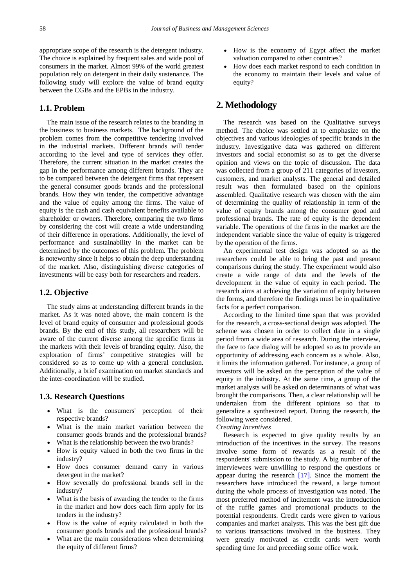appropriate scope of the research is the detergent industry. The choice is explained by frequent sales and wide pool of consumers in the market. Almost 99% of the world greatest population rely on detergent in their daily sustenance. The following study will explore the value of brand equity between the CGBs and the EPBs in the industry.

## **1.1. Problem**

The main issue of the research relates to the branding in the business to business markets. The background of the problem comes from the competitive tendering involved in the industrial markets. Different brands will tender according to the level and type of services they offer. Therefore, the current situation in the market creates the gap in the performance among different brands. They are to be compared between the detergent firms that represent the general consumer goods brands and the professional brands. How they win tender, the competitive advantage and the value of equity among the firms. The value of equity is the cash and cash equivalent benefits available to shareholder or owners. Therefore, comparing the two firms by considering the cost will create a wide understanding of their difference in operations. Additionally, the level of performance and sustainability in the market can be determined by the outcomes of this problem. The problem is noteworthy since it helps to obtain the deep understanding of the market. Also, distinguishing diverse categories of investments will be easy both for researchers and readers.

## **1.2. Objective**

The study aims at understanding different brands in the market. As it was noted above, the main concern is the level of brand equity of consumer and professional goods brands. By the end of this study, all researchers will be aware of the current diverse among the specific firms in the markets with their levels of branding equity. Also, the exploration of firms' competitive strategies will be considered so as to come up with a general conclusion. Additionally, a brief examination on market standards and the inter-coordination will be studied.

## **1.3. Research Questions**

- What is the consumers' perception of their respective brands?
- What is the main market variation between the consumer goods brands and the professional brands?
- What is the relationship between the two brands?
- How is equity valued in both the two firms in the industry?
- How does consumer demand carry in various detergent in the market?
- How severally do professional brands sell in the industry?
- What is the basis of awarding the tender to the firms in the market and how does each firm apply for its tenders in the industry?
- How is the value of equity calculated in both the consumer goods brands and the professional brands?
- What are the main considerations when determining the equity of different firms?
- How is the economy of Egypt affect the market valuation compared to other countries?
- How does each market respond to each condition in the economy to maintain their levels and value of equity?

## **2. Methodology**

The research was based on the Qualitative surveys method. The choice was settled at to emphasize on the objectives and various ideologies of specific brands in the industry. Investigative data was gathered on different investors and social economist so as to get the diverse opinion and views on the topic of discussion. The data was collected from a group of 211 categories of investors, customers, and market analysts. The general and detailed result was then formulated based on the opinions assembled. Qualitative research was chosen with the aim of determining the quality of relationship in term of the value of equity brands among the consumer good and professional brands. The rate of equity is the dependent variable. The operations of the firms in the market are the independent variable since the value of equity is triggered by the operation of the firms.

An experimental test design was adopted so as the researchers could be able to bring the past and present comparisons during the study. The experiment would also create a wide range of data and the levels of the development in the value of equity in each period. The research aims at achieving the variation of equity between the forms, and therefore the findings must be in qualitative facts for a perfect comparison.

According to the limited time span that was provided for the research, a cross-sectional design was adopted. The scheme was chosen in order to collect date in a single period from a wide area of research. During the interview, the face to face dialog will be adopted so as to provide an opportunity of addressing each concern as a whole. Also, it limits the information gathered. For instance, a group of investors will be asked on the perception of the value of equity in the industry. At the same time, a group of the market analysts will be asked on determinants of what was brought the comparisons. Then, a clear relationship will be undertaken from the different opinions so that to generalize a synthesized report. During the research, the following were considered.

#### *Creating Incentives*

Research is expected to give quality results by an introduction of the incentives in the survey. The reasons involve some form of rewards as a result of the respondents' submission to the study. A big number of the interviewees were unwilling to respond the questions or appear during the research [\[17\].](#page-4-3) Since the moment the researchers have introduced the reward, a large turnout during the whole process of investigation was noted. The most preferred method of incitement was the introduction of the ruffle games and promotional products to the potential respondents. Credit cards were given to various companies and market analysts. This was the best gift due to various transactions involved in the business. They were greatly motivated as credit cards were worth spending time for and preceding some office work.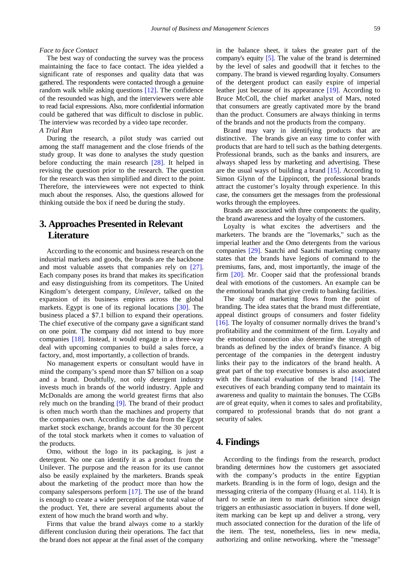#### *Face to face Contact*

The best way of conducting the survey was the process maintaining the face to face contact. The idea yielded a significant rate of responses and quality data that was gathered. The respondents were contacted through a genuine random walk while asking questions [\[12\].](#page-4-4) The confidence of the resounded was high, and the interviewers were able to read facial expressions. Also, more confidential information could be gathered that was difficult to disclose in public. The interview was recorded by a video tape recorder. *A Trial Run*

During the research, a pilot study was carried out among the staff management and the close friends of the study group. It was done to analyses the study question before conducting the main research [\[28\].](#page-4-5) It helped in revising the question prior to the research. The question for the research was then simplified and direct to the point. Therefore, the interviewees were not expected to think much about the responses. Also, the questions allowed for thinking outside the box if need be during the study.

# **3. Approaches Presented in Relevant Literature**

According to the economic and business research on the industrial markets and goods, the brands are the backbone and most valuable assets that companies rely on [\[27\].](#page-4-6) Each company poses its brand that makes its specification and easy distinguishing from its competitors. The United Kingdom's detergent company, *Unilever*, talked on the expansion of its business empires across the global markets. Egypt is one of its regional locations [\[30\].](#page-4-7) The business placed a \$7.1 billion to expand their operations. The chief executive of the company gave a significant stand on one point. The company did not intend to buy more companies [\[18\].](#page-4-8) Instead, it would engage in a three-way deal with upcoming companies to build a sales force, a factory, and, most importantly, a collection of brands.

No management experts or consultant would have in mind the company's spend more than \$7 billion on a soap and a brand. Doubtfully, not only detergent industry invests much in brands of the world industry. Apple and McDonalds are among the world greatest firms that also rely much on the branding [\[9\].](#page-4-9) The brand of their product is often much worth than the machines and property that the companies own. According to the data from the Egypt market stock exchange, brands account for the 30 percent of the total stock markets when it comes to valuation of the products.

Omo, without the logo in its packaging, is just a detergent. No one can identify it as a product from the Unilever. The purpose and the reason for its use cannot also be easily explained by the marketers. Brands speak about the marketing of the product more than how the company salespersons perform [\[17\].](#page-4-3) The use of the brand is enough to create a wider perception of the total value of the product. Yet, there are several arguments about the extent of how much the brand worth and why.

Firms that value the brand always come to a starkly different conclusion during their operations. The fact that the brand does not appear at the final asset of the company in the balance sheet, it takes the greater part of the company's equity [\[5\].](#page-4-10) The value of the brand is determined by the level of sales and goodwill that it fetches to the company. The brand is viewed regarding loyalty. Consumers of the detergent product can easily expire of imperial leather just because of its appearance [\[19\].](#page-4-11) According to Bruce McColl, the chief market analyst of Mars, noted that consumers are greatly captivated more by the brand than the product. Consumers are always thinking in terms of the brands and not the products from the company.

Brand may vary in identifying products that are distinctive. The brands give an easy time to confer with products that are hard to tell such as the bathing detergents. Professional brands, such as the banks and insurers, are always shaped less by marketing and advertising. These are the usual ways of building a brand [\[15\].](#page-4-12) According to Simon Glynn of the Lippincott, the professional brands attract the customer's loyalty through experience. In this case, the consumers get the messages from the professional works through the employees.

Brands are associated with three components: the quality, the brand awareness and the loyalty of the customers.

Loyalty is what excites the advertisers and the marketers. The brands are the "lovemarks," such as the imperial leather and the Omo detergents from the various companies [\[29\].](#page-4-13) Saatchi and Saatchi marketing company states that the brands have legions of command to the premiums, fans, and, most importantly, the image of the firm [\[20\].](#page-4-14) Mr. Cooper said that the professional brands deal with emotions of the customers. An example can be the emotional brands that give credit to banking facilities.

The study of marketing flows from the point of branding. The idea states that the brand must differentiate, appeal distinct groups of consumers and foster fidelity [\[16\].](#page-4-0) The loyalty of consumer normally drives the brand's profitability and the commitment of the firm. Loyalty and the emotional connection also determine the strength of brands as defined by the index of brand's finance. A big percentage of the companies in the detergent industry links their pay to the indicators of the brand health. A great part of the top executive bonuses is also associated with the financial evaluation of the brand [\[14\].](#page-4-15) The executives of each branding company tend to maintain its awareness and quality to maintain the bonuses. The CGBs are of great equity, when it comes to sales and profitability, compared to professional brands that do not grant a security of sales.

## **4. Findings**

According to the findings from the research, product branding determines how the customers get associated with the company's products in the entire Egyptian markets. Branding is in the form of logo, design and the messaging criteria of the company (Huang et al. 114). It is hard to settle an item to mark definition since design triggers an enthusiastic association in buyers. If done well, item marking can be kept up and deliver a strong, very much associated connection for the duration of the life of the item. The test, nonetheless, lies in new media, authorizing and online networking, where the "message"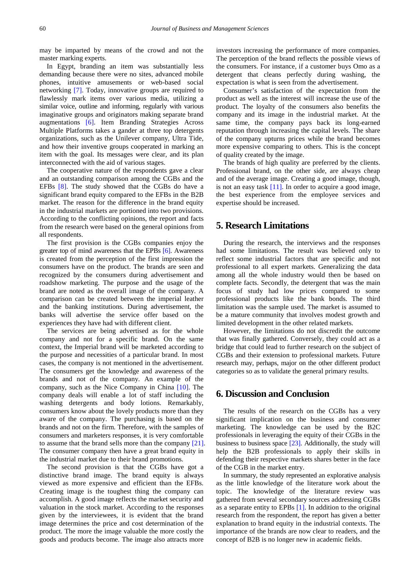may be imparted by means of the crowd and not the master marking experts.

In Egypt, branding an item was substantially less demanding because there were no sites, advanced mobile phones, intuitive amusements or web-based social networking [\[7\].](#page-4-16) Today, innovative groups are required to flawlessly mark items over various media, utilizing a similar voice, outline and informing, regularly with various imaginative groups and originators making separate brand augmentations [\[6\].](#page-4-17) Item Branding Strategies Across Multiple Platforms takes a gander at three top detergents organizations, such as the Unilever company, Ultra Tide, and how their inventive groups cooperated in marking an item with the goal. Its messages were clear, and its plan interconnected with the aid of various stages.

The cooperative nature of the respondents gave a clear and an outstanding comparison among the CGBs and the EFBs [\[8\].](#page-4-18) The study showed that the CGBs do have a significant brand equity compared to the EFBs in the B2B market. The reason for the difference in the brand equity in the industrial markets are portioned into two provisions. According to the conflicting opinions, the report and facts from the research were based on the general opinions from all respondents.

The first provision is the CGBs companies enjoy the greater top of mind awareness that the EPBs [\[6\].](#page-4-17) Awareness is created from the perception of the first impression the consumers have on the product. The brands are seen and recognized by the consumers during advertisement and roadshow marketing. The purpose and the usage of the brand are noted as the overall image of the company. A comparison can be created between the imperial leather and the banking institutions. During advertisement, the banks will advertise the service offer based on the experiences they have had with different client.

The services are being advertised as for the whole company and not for a specific brand. On the same context, the Imperial brand will be marketed according to the purpose and necessities of a particular brand. In most cases, the company is not mentioned in the advertisement. The consumers get the knowledge and awareness of the brands and not of the company. An example of the company, such as the Nice Company in China [\[10\].](#page-4-19) The company deals will enable a lot of staff including the washing detergents and body lotions. Remarkably, consumers know about the lovely products more than they aware of the company. The purchasing is based on the brands and not on the firm. Therefore, with the samples of consumers and marketers responses, it is very comfortable to assume that the brand sells more than the company [\[21\].](#page-4-20) The consumer company then have a great brand equity in the industrial market due to their brand promotions.

The second provision is that the CGBs have got a distinctive brand image. The brand equity is always viewed as more expensive and efficient than the EFBs. Creating image is the toughest thing the company can accomplish. A good image reflects the market security and valuation in the stock market. According to the responses given by the interviewees, it is evident that the brand image determines the price and cost determination of the product. The more the image valuable the more costly the goods and products become. The image also attracts more

investors increasing the performance of more companies. The perception of the brand reflects the possible views of the consumers. For instance, if a customer buys Omo as a detergent that cleans perfectly during washing, the expectation is what is seen from the advertisement.

Consumer's satisfaction of the expectation from the product as well as the interest will increase the use of the product. The loyalty of the consumers also benefits the company and its image in the industrial market. At the same time, the company pays back its long-earned reputation through increasing the capital levels. The share of the company upturns prices while the brand becomes more expensive comparing to others. This is the concept of quality created by the image.

The brands of high quality are preferred by the clients. Professional brand, on the other side, are always cheap and of the average image. Creating a good image, though, is not an easy task [\[11\].](#page-4-21) In order to acquire a good image, the best experience from the employee services and expertise should be increased.

## **5. Research Limitations**

During the research, the interviews and the responses had some limitations. The result was believed only to reflect some industrial factors that are specific and not professional to all expert markets. Generalizing the data among all the whole industry would then be based on complete facts. Secondly, the detergent that was the main focus of study had low prices compared to some professional products like the bank bonds. The third limitation was the sample used. The market is assumed to be a mature community that involves modest growth and limited development in the other related markets.

However, the limitations do not discredit the outcome that was finally gathered. Conversely, they could act as a bridge that could lead to further research on the subject of CGBs and their extension to professional markets. Future research may, perhaps, major on the other different product categories so as to validate the general primary results.

# **6. Discussion and Conclusion**

The results of the research on the CGBs has a very significant implication on the business and consumer marketing. The knowledge can be used by the B2C professionals in leveraging the equity of their CGBs in the business to business space [\[23\].](#page-4-22) Additionally, the study will help the B2B professionals to apply their skills in defending their respective markets shares better in the face of the CGB in the market entry.

In summary, the study represented an explorative analysis as the little knowledge of the literature work about the topic. The knowledge of the literature review was gathered from several secondary sources addressing CGBs as a separate entity to EPBs [\[1\].](#page-4-23) In addition to the original research from the respondent, the report has given a better explanation to brand equity in the industrial contexts. The importance of the brands are now clear to readers, and the concept of B2B is no longer new in academic fields.